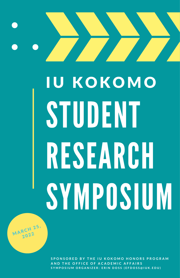# STUDENT RESEARCH SYMPOSIUM **IU KOKOMO**

 $M$ ARCH 25,  $20^{22}$ 

> SPONSORED BY THE IU KOKOMO HONORS PROGRAM AND THE OFFICE OF ACADEMIC AFFAIRS SYMPOSIUM ORGANIZER: ERIN DOSS (EFDOSS@IUK.EDU)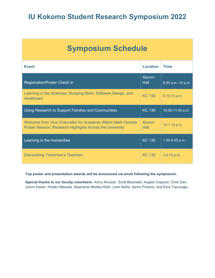| <b>Symposium Schedule</b>                                                                                                  |                              |                   |  |  |  |  |
|----------------------------------------------------------------------------------------------------------------------------|------------------------------|-------------------|--|--|--|--|
| <b>Event</b>                                                                                                               | <b>Location</b>              | <b>Time</b>       |  |  |  |  |
| <b>Registration/Poster Check-in</b>                                                                                        | <b>Alumni</b><br><b>Hall</b> | 8:30 a.m.-12 p.m. |  |  |  |  |
| Learning in the Sciences: Studying Stars, Software Design, and<br><b>Healthcare</b>                                        | <b>KC 130</b>                | $9 - 10:15$ a.m.  |  |  |  |  |
| Using Research to Support Families and Communities                                                                         | <b>KC 130</b>                | 10:30-11:45 a.m.  |  |  |  |  |
| Welcome from Vice Chancellor for Academic Affairs Mark Canada<br>Poster Session: Research Highlights Across the University | Alumni<br>Hall               | 12-1:15 p.m.      |  |  |  |  |
| Learning in the Humanities                                                                                                 | <b>KC 130</b>                | 1:30-2:45 p.m.    |  |  |  |  |
| <b>Discovering Tomorrow's Teachers</b>                                                                                     | <b>KC 130</b>                | $3-4:15$ p.m.     |  |  |  |  |

#### **Top poster and presentation awards will be announced via email following the symposium.**

**Special thanks to our faculty volunteers:** Awny Alnusair, Scott Blackwell, Angela Coppola, Chris Darr, Joann Kaiser, Hisako Masuda, Stephanie Medley-Rath, Leah Nellis, Aaron Pickens, and Esra Topcuoglu.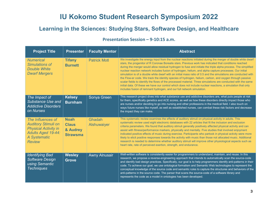## **Learning in the Sciences: Studying Stars, Software Design, and Healthcare**

#### **Presentation Session – 9-10:15 a.m.**

| <b>Project Title</b>                                                                                                                         | <b>Presenter</b>                                           | <b>Faculty Mentor</b> | <b>Abstract</b>                                                                                                                                                                                                                                                                                                                                                                                                                                                                                                                                                                                                                                                                                                                                                                                                                                                                                                                                                                        |
|----------------------------------------------------------------------------------------------------------------------------------------------|------------------------------------------------------------|-----------------------|----------------------------------------------------------------------------------------------------------------------------------------------------------------------------------------------------------------------------------------------------------------------------------------------------------------------------------------------------------------------------------------------------------------------------------------------------------------------------------------------------------------------------------------------------------------------------------------------------------------------------------------------------------------------------------------------------------------------------------------------------------------------------------------------------------------------------------------------------------------------------------------------------------------------------------------------------------------------------------------|
| <b>Numerical</b><br>Simulations of<br><b>Double White</b><br><b>Dwarf Mergers</b>                                                            | <b>Tifany</b><br><b>Burnett</b>                            | <b>Patrick Motl</b>   | We investigate the energy input from the nuclear reactions initiated during the merger of double white dwarf<br>stars, the progenitor of R Coronae Borealis stars. Previous work has indicated that conditions reached<br>during the merger would allow residual hydrogen to fuse and initiate the triple alpha process. The simplified<br>nuclear reaction network includes fusion of hydrogen, helium, and alpha capture processes. Our initial<br>simulation is of a double white dwarf with an initial mass ratio of 0.5 and the simulations are conducted with<br>the Flow-er code. We track the identity species of hydrogen, helium, carbon, and oxygen through passive<br>scalar fields to identify the flows of the processed material. Three simulations are conducted with the same<br>initial data. Of these we have our control which does not include nuclear reactions, a simulation that only<br>includes fusion of remnant hydrogen, and our full network simulation. |
| The Impact of<br><b>Substance Use and</b><br><b>Addictive Disorders</b><br>on Nurses                                                         | <b>Kelsey</b><br><b>Burnham</b>                            | Sonya Green           | This research project dives into what substance use and addictive disorders are, what puts people at risk<br>for them, specifically genetics and ACE scores, as well as how these disorders directly impact those who<br>are nurses and/or deciding to go into nursing and other professions in the medical field. I also touch on<br>ways future nurses like myself, as well as established nurses, can combat these risk factors and decrease<br>the impact they can make.                                                                                                                                                                                                                                                                                                                                                                                                                                                                                                           |
| The Influences of<br><b>Auditory Stimuli on</b><br><b>Physical Activity in</b><br><b>Adults Aged 19-44:</b><br>A Systematic<br><b>Review</b> | <b>Noah</b><br><b>Claus</b><br>& Audrey<br><b>Strawsma</b> | Ghadah<br>Alshuwaiyer | This systematic review examines the effects of auditory stimuli on physical activity in adults. This<br>systematic review used eight electronic databases with 22 articles that fit the inclusion and exclusion<br>criteria parameters. We found that auditory stimuli generally positively affected physical activity and can<br>assist with fitness/performance markers, physically and mentally. Five studies that involved enjoyment<br>indicated positive effects of music during exercise. Participants who partook in physical activity were more<br>likely to elicit positive responses towards the activity with music than those not allocated music. Additional<br>research is needed to determine whether auditory stimuli will improve other physiological aspects such as<br>heart rate, rate of perceived exertion, strength, and endurance.                                                                                                                            |
| <b>Identifying Bad</b><br>Software Design<br>using Semantic<br><b>Techniques</b>                                                             | <b>Wesley</b><br><b>Grove</b>                              | <b>Awny Alnusair</b>  | Well-written software is consistently easier for programmers to understand, maintain, and reuse. In this<br>research, we propose a reverse-engineering approach that intends to automatically scan the source-code<br>and identify bad design practices. Specifically, our goal is to help programmers identify anti-patterns in their<br>code. To achieve our goal, we use ontological formalism and Semantic Web technologies to represent the<br>conceptual knowledge of the source code and semantic rules to capture the structures and behaviors of the<br>anti-patterns in the source code. The parser that scans the source-code of a software library and<br>represents the code as a model in ontologies has been developed.                                                                                                                                                                                                                                                 |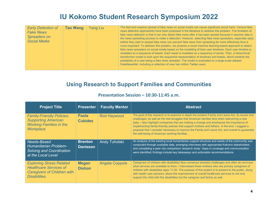| <b>Early Detection of</b><br><b>Fake News</b><br><b>Spreaders on</b><br><b>Social Media</b> | <b>Tao Wang</b> | <b>Yang Liu</b> | The fast and massive spread of fake news on social media can cause significant social harm. Various fake<br>news detection approaches have been proposed in the literature to address this problem. The limitation of<br>fake news detection is that it can only detect fake news after it has been spread because it requires data in<br>the news spreading process to make a detection. However, detecting fake news spreaders, especially early<br>before they start to spread fake news can prevent fake news from spreading far more effectively thus is<br>more important. To address this problem, we propose a novel machine learning-based approach to detect<br>fake news spreaders on social media based on the modelling of their user timelines. Each user timeline is<br>modelled as a sequence of tweets. Each tweet is modelled as a sequence of words. Then, a hierarchical<br>transformer model is built upon the sequential representation of timelines and tweets, which predicts the<br>probability of a user being a fake news spreader. The model is evaluated on a large-scale dataset<br>FakeNewsNet, including a collection of over two million Twitter users. |
|---------------------------------------------------------------------------------------------|-----------------|-----------------|------------------------------------------------------------------------------------------------------------------------------------------------------------------------------------------------------------------------------------------------------------------------------------------------------------------------------------------------------------------------------------------------------------------------------------------------------------------------------------------------------------------------------------------------------------------------------------------------------------------------------------------------------------------------------------------------------------------------------------------------------------------------------------------------------------------------------------------------------------------------------------------------------------------------------------------------------------------------------------------------------------------------------------------------------------------------------------------------------------------------------------------------------------------------------------------|
|---------------------------------------------------------------------------------------------|-----------------|-----------------|------------------------------------------------------------------------------------------------------------------------------------------------------------------------------------------------------------------------------------------------------------------------------------------------------------------------------------------------------------------------------------------------------------------------------------------------------------------------------------------------------------------------------------------------------------------------------------------------------------------------------------------------------------------------------------------------------------------------------------------------------------------------------------------------------------------------------------------------------------------------------------------------------------------------------------------------------------------------------------------------------------------------------------------------------------------------------------------------------------------------------------------------------------------------------------------|

## **Using Research to Support Families and Communities**

| <b>Project Title</b>                                                                                                          | <b>Presenter</b>                  | <b>Faculty Mentor</b> | <b>Abstract</b>                                                                                                                                                                                                                                                                                                                                                                                                                                                                                                                                      |
|-------------------------------------------------------------------------------------------------------------------------------|-----------------------------------|-----------------------|------------------------------------------------------------------------------------------------------------------------------------------------------------------------------------------------------------------------------------------------------------------------------------------------------------------------------------------------------------------------------------------------------------------------------------------------------------------------------------------------------------------------------------------------------|
| <b>Family-Friendly Policies:</b><br><b>Supporting American</b><br><b>Working Families in the</b><br><b>Workplace</b>          | <b>Paola</b><br><b>Cubides</b>    | <b>Rod Haywood</b>    | The goal of this research is to examine in depth the existent Family and Leave Act, its issues and<br>challenges, as well as the real struggles that American families face when welcoming a new<br>baby. I also highlight companies that are making a change and emphasize the importance of<br>implementing family-friendly policies that support mothers and fathers. In the end, I suggest a<br>proposal that I consider necessary to improve the Family and Leave Act, and overall to guarantee<br>the well-being of American working families. |
| Needs-Based<br>Humanitarian Problem-<br><b>Solving and Coordination</b><br>at the Local Level                                 | <b>Brenton</b><br><b>Davisson</b> | <b>Andy Tuholski</b>  | An analysis of the existing local humanitarian support structure and needs of the community was<br>conducted through available data, arranging interviews with appropriate Kokomo stakeholders,<br>and completing a peer city comparison research study. Gaps in coverage and communication<br>were identified; findings include key takeaways and actionable recommendations.                                                                                                                                                                       |
| <b>Exploring Stress Related</b><br><b>Healthcare Services of</b><br><b>Caregivers of Children with</b><br><b>Disabilities</b> | <b>Megan</b><br><b>Dishon</b>     | Angela Coppola        | Caregivers of children with disabilities face numerous stressful challenges and often do not know<br>what services are available to them. I interviewed three mothers who are primary caregivers of<br>children with disabilities ages 17-20. The purpose of this project is to present to the public, along<br>with health care advisors, about the improvement of overall healthcare services to not only<br>support the child with the disabilities but the caregiver and family as well.                                                         |

#### **Presentation Session – 10:30-11:45 a.m.**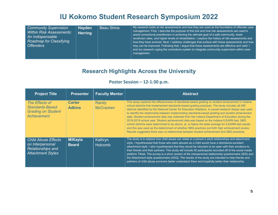| <b>Hayden</b>                   | My research looks at risk assessments and how they are used as the foundation of offender case       |
|---------------------------------|------------------------------------------------------------------------------------------------------|
| <b>Beau Shine</b>               | management. First, I describe the purpose of this tool and how risk assessments are used to          |
| <b>Community Supervision</b>    | assist correctional practitioners in achieving the ultimate goal of a safe community, lower          |
| <b>Within Risk Assessments:</b> | recidivism rates, and higher levels of rehabilitation. I explore the history of risk assessments and |
| <b>Herring</b>                  | how they have evolved. Next, I address challenges that surface with these assessments and how        |
| An Indispensable                | they can be improved. Following that, I argue that these assessments are effective and valid. I      |
| <b>Roadmap for Classifying</b>  | end my research urging the corrections system to integrate community supervision within case         |
| <b>Offenders</b>                | management.                                                                                          |

## **Research Highlights Across the University**

#### **Poster Session – 12-1:30 p.m.**

| <b>Project Title</b>                                                                                   | <b>Presenter</b>               | <b>Faculty Mentor</b>     | <b>Abstract</b>                                                                                                                                                                                                                                                                                                                                                                                                                                                                                                                                                                                                                                                                                                                                                                                                                                                                                                                  |
|--------------------------------------------------------------------------------------------------------|--------------------------------|---------------------------|----------------------------------------------------------------------------------------------------------------------------------------------------------------------------------------------------------------------------------------------------------------------------------------------------------------------------------------------------------------------------------------------------------------------------------------------------------------------------------------------------------------------------------------------------------------------------------------------------------------------------------------------------------------------------------------------------------------------------------------------------------------------------------------------------------------------------------------------------------------------------------------------------------------------------------|
| The Effects of<br><b>Standards-Based</b><br><b>Grading on Student</b><br><b>Achievement</b>            | <b>Carter</b><br><b>Adkins</b> | Randy<br><b>McCracken</b> | This study explored the effectiveness of standards-based grading on student achievement in Indiana<br>school districts that implemented standards-based grading practices. The study includes all 289<br>districts identified by the National Center for Education Statistics. A causal research design was used<br>to identify the relationship between implementing standards-based grading and student achievement<br>data. Student achievement data was collected from the Indiana Department of Education during the<br>2018-2019 school year. Student achievement data was based on the Indiana ILEARN test. SBG<br>school districts were determined to be above, at, or below the state average for ILEARN test results<br>and this was used as the determinant of whether SBG practices put forth high achievement scores.<br>Results suggested there was no relationship between student achievement and SBG practices. |
| <b>Child Abuse Effects</b><br>on Interpersonal<br><b>Relationships and</b><br><b>Attachment Styles</b> | <b>MiKayla</b><br><b>Beard</b> | Kathryn<br>Holcomb        | The study is to explore how child abuse can relate to a person's adult relationships and attachment<br>style. I hypothesized that those who were abused as a child would have a dismissive-avoidant<br>attachment style. I also hypothesized that they would be reluctant to be open with their emotions to<br>their friends and their partners. This study will include 50 participants recruited off of the social media<br>platform Tiktok. The survey is a short version of the interpersonal relationship questionnaire (ISQ) and<br>the Attachment style questionnaire (ASQ). The results of the study are intended to help friends and<br>partners of child abuse survivors better understand them and hopefully better their relationship.                                                                                                                                                                               |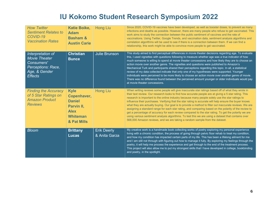| <b>How Twitter</b><br><b>Sentiment Relates to</b><br>COVID-19<br><b>Vaccination Rates</b>                 | <b>Katie Boike,</b><br><b>Adam</b><br><b>Basham &amp;</b><br><b>Austin Carie</b>                           | <b>Hong Liu</b>                     | Since 2020, COVID-19 vaccines have been developed, as well as booster doses, to prevent as many<br>infections and deaths as possible. However, there are many people who refuse to get vaccinated. This<br>work aims to study the connection between the public sentiment of vaccines and the rate of<br>vaccinations. Using Twitter, Google Trends, and vaccination data, sentiment analysis algorithms and<br>correlation algorithms will be used to see if there is a connection between them. If we can find a<br>relationship, this work might be able to convince more people to get vaccinated.                                                                                                                                                                                                                                                                                                                                     |
|-----------------------------------------------------------------------------------------------------------|------------------------------------------------------------------------------------------------------------|-------------------------------------|--------------------------------------------------------------------------------------------------------------------------------------------------------------------------------------------------------------------------------------------------------------------------------------------------------------------------------------------------------------------------------------------------------------------------------------------------------------------------------------------------------------------------------------------------------------------------------------------------------------------------------------------------------------------------------------------------------------------------------------------------------------------------------------------------------------------------------------------------------------------------------------------------------------------------------------------|
| Interpretation of<br><b>Movie Theater</b><br>Consumers'<br>Perceptions: Race,<br>Age, & Gender<br>Effects | <b>Christian</b><br><b>Bunce</b>                                                                           | <b>Julie Brunson</b>                | This study aimed to find perceptual differences in movie theater decisions regarding age. To evaluate<br>this, I used vignettes with questions following to measure whether age was a true indicator of how<br>much someone is willing to spend at movie theater concessions and how likely they are to choose an<br>action movie over another genre. The vignettes and questions were published to Amazon's<br>Mechanical Turk and participants shared their perceptions regarding this topic. In all, a statistical<br>review of my data collected indicate that only one of my hypotheses were supported. Younger<br>individuals were perceived to be more likely to choose an action movie over another genre of movie.<br>There was no difference found between the perceived amount younger or older individuals would pay<br>at movie theater concessions.                                                                          |
| <b>Finding the Accuracy</b><br>of 5 Star Ratings on<br><b>Amazon Product</b><br><b>Reviews</b>            | <b>Kyle</b><br>Copenhaver,<br><b>Daniel</b><br>Parvin II,<br><b>Alex</b><br><b>Whiteman</b><br>& Pat Mills | <b>Hong Liu</b>                     | When writing reviews some people will give inaccurate star ratings based off of what they wrote in<br>their text review. Our research looks to find how accurate people are at giving a 5 star rating. This<br>research is important to the online industry because many people solely use the star ratings to<br>influence their purchases. Verifying that the star rating is accurate will help ensure the buyer knows<br>what they are actually buying. Our goal is to provide a method to filter out inaccurate reviews. We are<br>assigning a standard range for each star rating, and comparing based on the polarity of the review to<br>get a percentage of accuracy for each review compared to the star rating. To get the polarity we are<br>using various sentiment analysis algorithms. To test this we are using a dataset that contains over<br>568,000 Amazon reviews, and we are taking a random sample from the dataset. |
| <b>Bloom</b>                                                                                              | <b>Brittany</b><br><b>Lucas</b>                                                                            | <b>Erik Deerly</b><br>& Anita Garza | My creative work is a handmade book collecting works of poetry exploring my personal experience<br>living with a chronic condition, the process of going through pelvic floor rehab to treat my condition,<br>and how my condition has impacted certain parts of my life. This has been a lifelong ailment for me<br>and I am still not through with figuring out how to manage it fully. By exploring my feelings through the<br>poetry, it will help me process the experience and get through to the end of the treatment process.<br>This project will also allow me to put my strongest skills that I have developed in college, bookbinding<br>and poetry, in the spotlight.                                                                                                                                                                                                                                                         |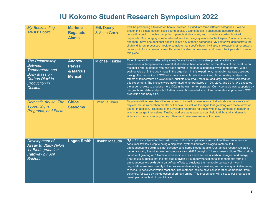| <b>My Bookbinding</b><br><b>Artists' Books</b>                                                                                                          | <b>Marlene</b><br><b>Regalado</b><br><b>Alanis</b>          | <b>Erik Deerly</b><br>& Anita Garza | I will be presenting a total of ten books I created, divided into three different categories. I will be<br>presenting 3 single-section case-bound books, 2 tunnel books, 1 casebound accordion book, 1<br>concertina book, 1 double pamphlet, 1 pamphlet stick book, and 1 simple accordion book with<br>papercuts. One category is nature-based, another category relates to the Hispanic/Latino community,<br>and then I have one book that doesn't fit into any of these categories. My poster will demonstrate the<br>slightly different processes I took to complete that specific book. I will also showcase another artwork I<br>recently did for my drawing class. Its content is also nature-based and I used chalk pastels to create<br>this piece.                                                                                                                                                                                                                                                                                                                           |
|---------------------------------------------------------------------------------------------------------------------------------------------------------|-------------------------------------------------------------|-------------------------------------|-----------------------------------------------------------------------------------------------------------------------------------------------------------------------------------------------------------------------------------------------------------------------------------------------------------------------------------------------------------------------------------------------------------------------------------------------------------------------------------------------------------------------------------------------------------------------------------------------------------------------------------------------------------------------------------------------------------------------------------------------------------------------------------------------------------------------------------------------------------------------------------------------------------------------------------------------------------------------------------------------------------------------------------------------------------------------------------------|
| <b>The Relationship</b><br><b>Between</b><br>Temperature and<br><b>Body Mass on</b><br><b>Carbon Dioxide</b><br><b>Production in</b><br><b>Crickets</b> | <b>Andrew</b><br><b>Pervez</b><br>& Marcus<br><b>Mensah</b> | <b>Michael Finkler</b>              | Rate of metabolism is affected by many factors including body size, physical activity, and<br>environmental temperatures. Several studies have been conducted on the effects of temperature on<br>metabolic rate. Metabolic rate has been shown to increase exponentially with temperature, with a<br>scaling value of 3⁄4 the body mass in the organism. In this experiment, metabolic rate was observed<br>through the production of CO2 in House crickets (Acheta domesticus). To accurately analyze the<br>effects of temperature on CO2 output, crickets of a small, medium, and large size were selected for<br>this experiment. The crickets were acclimated to temperatures of 10°C, 20°C, and 30 °C. We expected<br>the larger crickets to produce more CO2 in the warmer temperature. Our hypothesis was supported by<br>our graph and data analysis but further research is needed to explore the relationship between CO2<br>production and body size.                                                                                                                      |
| <b>Domestic Abuse: The</b><br>Types, Signs,<br><b>Programs, and Facts</b>                                                                               | <b>Chloe</b><br><b>Sessoms</b>                              | <b>Emily Faulkner</b>               | My presentation describes different types of domestic abuse as most individuals are only aware of<br>physical abuse rather than mental or financial, as well as the signs that go along with these forms of<br>abuse. In addition, I list some of the available resources for those who know someone in danger or<br>who is in danger themselves. Finally, I address ways a person can help to fight against domestic<br>violence in their community to help others and raise awareness of the issue.                                                                                                                                                                                                                                                                                                                                                                                                                                                                                                                                                                                   |
| Development of<br><b>Assay to Study Nylon</b><br>11 Biodegradation<br>Pathway by Soil<br><b>Bacteria</b>                                                | <b>Logan Smith</b>                                          | <b>Hisako Masuda</b>                | Nylon 11 is a polyamide plastic with broad industrial applications from automotive components to<br>consumer textiles. Despite being a bioplastic, synthesized from biological material (11-<br>aminoundecanoic acid), it is not currently considered biodegradable. Our lab has recently isolated a<br>bacterial strain, Pseudomonas aeruginosa strain JG-B from nylon 11 enrichment culture. This strain is<br>capable of growing on 11-aminoundecanoic acid as a sole source of carbon, nitrogen, and energy.<br>The results suggests that the first step of nylon 11 is depolymerization to its monomeric form (11-<br>aminoundecanoic acid). As a part of our efforts to elucidate the metabolic pathway of nylon 11<br>degradation, we are currently in the process of developing a sensitive, inexpensive quantitative assay<br>to measure depolymerization reactions. The methods include physical separation of monomer from<br>polymers, followed by the detection of primary amine. This presentation will discuss our progress in<br>developing a method of quantification. |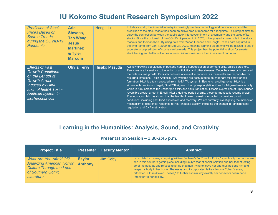| <b>Prediction of Stock</b><br><b>Prices Based on</b><br><b>Search Trends</b><br>during the COVID-19<br>Pandemic                                                                       | <b>Ariel</b><br><b>Stevens.</b><br><b>Tao Wang,</b><br><b>Jesus</b><br><b>Martinez</b><br>& Tyler<br><b>Marcum</b> | <b>Hong Liu</b>      | In today's world, the financial industry increasingly involves technology and data science, and the<br>prediction of the stock market has been an active area of research for a long time. This project aims to<br>study the connection between the public stock interest/sentiment of a company and the value of its<br>stocks. Since the outbreak of the COVID-19 pandemic in 2020, it has played a major role in the stock<br>markets and their analysis. By using data from Yahoo Finance and Google Trends data captured in<br>the time frame from Jan 1, 2020, to Dec 31, 2020, machine learning algorithms will be utilized to see if<br>accurate price prediction of stocks can be made. This project has the potential to allow for smarter<br>stock trading and better outcomes when individuals maximize their investment portfolios.                                                                                                                                                                                                                                                                                                                                                                      |
|---------------------------------------------------------------------------------------------------------------------------------------------------------------------------------------|--------------------------------------------------------------------------------------------------------------------|----------------------|-----------------------------------------------------------------------------------------------------------------------------------------------------------------------------------------------------------------------------------------------------------------------------------------------------------------------------------------------------------------------------------------------------------------------------------------------------------------------------------------------------------------------------------------------------------------------------------------------------------------------------------------------------------------------------------------------------------------------------------------------------------------------------------------------------------------------------------------------------------------------------------------------------------------------------------------------------------------------------------------------------------------------------------------------------------------------------------------------------------------------------------------------------------------------------------------------------------------------|
| <b>Effects of Past</b><br><b>Growth Conditions</b><br>on the Length of<br><b>Growth Arrest</b><br>Induced by HipA<br>toxin of hipBA Toxin-<br>Antitoxin system in<br>Escherichia coli | <b>Olivia Terry</b>                                                                                                | <b>Hisako Masuda</b> | Actively growing populations of bacteria harbor a subpopulation of dormant cells, called persisters.<br>Persisters are insensitive to the action of antibiotics and other stresses. Once the stressor is removed,<br>the cells resume growth. Persister cells are of clinical importance, as these cells are responsible for<br>recurring infections. Toxin-Antitoxin (TA) systems are postulated to be important for persister cell<br>formation. HipA is a toxin encoded from hipBA TA system in Escherichia coli genome. HipA is a<br>kinase with one known target, Glu-tRNA-ligase. Upon phosphorylation, Glu-tRNA-ligase loses activity,<br>which in turn increases the uncharged tRNA and halts translation. Ectopic expression of HipA induces<br>reversible growth arrest in E. coli. After a defined period of time, these dormant cells resume growth.<br>Previously, our lab has shown that the length of growth arrest is impacted by previous growth<br>conditions, including past HipA expression and recovery. We are currently investigating the molecular<br>mechanism of differential response to HipA-induced toxicity, including the change in transcriptional<br>regulation and DNA methylation. |

## **Learning in the Humanities: Analysis, Sound, and Creativity**

#### **Presentation Session – 1:30-2:45 p.m.**

| Project Title                                                                                                                             | <b>Presenter</b>                | <b>Faculty Mentor</b> | <b>Abstract</b>                                                                                                                                                                                                                                                                                                                                                                                                                                                                                                              |
|-------------------------------------------------------------------------------------------------------------------------------------------|---------------------------------|-----------------------|------------------------------------------------------------------------------------------------------------------------------------------------------------------------------------------------------------------------------------------------------------------------------------------------------------------------------------------------------------------------------------------------------------------------------------------------------------------------------------------------------------------------------|
| <b>What Are You Afraid Of?</b><br><b>Analyzing American Horror</b><br><b>Culture Through the Lens</b><br>of Southern Gothic<br>Literature | <b>Skylar</b><br><b>Anthony</b> | Jim Coby              | I completed an essay analyzing William Faulkner's "A Rose for Emily," specifically the horrors we<br>see in this southern gothic piece including Emily's fear of social isolation and her fear of letting<br>go of the past, as she refuses to let go of a man trying to leave her and thus poisons him and<br>keeps his body in her home. The essay also incorporates Jeffrey Jerome Cohen's essay<br>"Monster Culture (Seven Theses)" to further explain why exactly her behaviors deem her a<br>"monster" to her society. |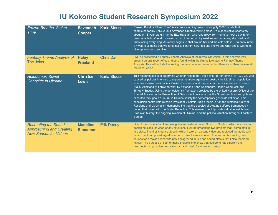| Frozen Breaths, Stolen<br>Time                                                                  | <b>Savannah</b><br>Cooper          | <b>Karla Stouse</b> | "Frozen Breaths, Stolen Time" is a creative writing project of roughly 2,000 words that I<br>completed for my ENG-W 301 Advanced Creative Writing class. It's a speculative short story<br>about an 18-year-old girl named Etta Haytham who runs away from home to meet up with her<br>questionable boyfriend. However, an accident on an icy road leaves her alone, stranded, and<br>questioning everything. As reality begins to shift around her and the cold sets in, Etta encounters<br>a mysterious being that will force her to confront how little she knows and what she is willing to<br>give up in order to survive.                                                                                                                                                                                                                                                                                                                                                                                                                                                                                      |
|-------------------------------------------------------------------------------------------------|------------------------------------|---------------------|----------------------------------------------------------------------------------------------------------------------------------------------------------------------------------------------------------------------------------------------------------------------------------------------------------------------------------------------------------------------------------------------------------------------------------------------------------------------------------------------------------------------------------------------------------------------------------------------------------------------------------------------------------------------------------------------------------------------------------------------------------------------------------------------------------------------------------------------------------------------------------------------------------------------------------------------------------------------------------------------------------------------------------------------------------------------------------------------------------------------|
| <b>Fantasy Theme Analysis of</b><br>The Joker                                                   | <b>Haley</b><br><b>Freeland</b>    | <b>Chris Darr</b>   | I will be presenting a Fantasy Theme Analysis of the movie The Joker. In this analysis I will<br>present an oral report of each theme found within the film as it relates to Fantasy Theme<br>Analysis. This will include the setting theme, character theme, action theme and then the overall<br>rhetorical vision.                                                                                                                                                                                                                                                                                                                                                                                                                                                                                                                                                                                                                                                                                                                                                                                                |
| <b>Holodomor: Soviet</b><br>Genocide in Ukraine                                                 | <b>Christian</b><br><b>Lewis</b>   | <b>Karla Stouse</b> | This research seeks to determine whether Holodomor, the Soviet "terror famine" of 1932-33, was<br>caused by policies intended to suppress, retaliate against, or destroy the Ukrainian population. I<br>examine survivor testimonies, Soviet documents, and the personal correspondence of Joseph<br>Stalin. Additionally, I draw on work by historians Anne Applebaum, Robert Conquest, and<br>Timothy Snyder. Using the genocide risk framework provided by the United Nation's Office of the<br>Special Adviser on the Prevention of Genocide, I conclude that the Soviet practices and policies<br>executed throughout 1932-33 in Ukraine satisfy the contemporary genocide definition. This<br>conclusion contradicts Russian President Vladimir Putin's thesis in "On the Historical Unity of<br>Russians and Ukrainians," demonstrating that the peoples of Ukraine suffered tremendously<br>during their union with the Soviet Republics. This research could provide valuable insight into<br>Ukrainian history, the ongoing invasion of Ukraine, and the political situation throughout eastern<br>Europe. |
| <b>Recreating the Sound:</b><br><b>Approaching and Creating</b><br><b>New Sounds for Videos</b> | <b>Madeline</b><br><b>Sinnamon</b> | <b>Erik Deerly</b>  | One of the classes that I am taking this semester is called Sound in Context, which is an audio<br>designing class for video or any situations. I will be presenting two projects that I completed in<br>this class. The first is dance video in which I took an existing video and replaced the audio with<br>music that I composed myself in order to give it a new context. The second is creating new<br>sounds for a movie scene with new background music and sound effects that I also recorded<br>myself. The purpose of both of these projects is to show that everyone has different and<br>unexpected approaches to creating art and music for video and design.                                                                                                                                                                                                                                                                                                                                                                                                                                          |